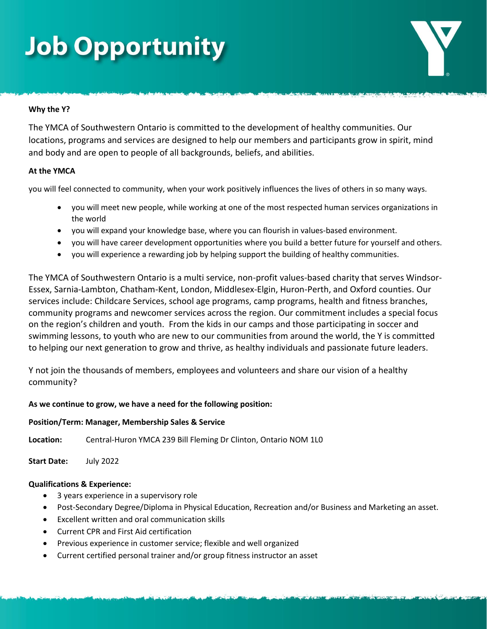## **Job Opportunity**

### **Why the Y?**

The YMCA of Southwestern Ontario is committed to the development of healthy communities. Our locations, programs and services are designed to help our members and participants grow in spirit, mind and body and are open to people of all backgrounds, beliefs, and abilities.

### **At the YMCA**

you will feel connected to community, when your work positively influences the lives of others in so many ways.

- you will meet new people, while working at one of the most respected human services organizations in the world
- you will expand your knowledge base, where you can flourish in values-based environment.
- you will have career development opportunities where you build a better future for yourself and others.
- you will experience a rewarding job by helping support the building of healthy communities.

The YMCA of Southwestern Ontario is a multi service, non-profit values-based charity that serves Windsor-Essex, Sarnia-Lambton, Chatham-Kent, London, Middlesex-Elgin, Huron-Perth, and Oxford counties. Our services include: Childcare Services, school age programs, camp programs, health and fitness branches, community programs and newcomer services across the region. Our commitment includes a special focus on the region's children and youth. From the kids in our camps and those participating in soccer and swimming lessons, to youth who are new to our communities from around the world, the Y is committed to helping our next generation to grow and thrive, as healthy individuals and passionate future leaders.

Y not join the thousands of members, employees and volunteers and share our vision of a healthy community?

### **As we continue to grow, we have a need for the following position:**

### **Position/Term: Manager, Membership Sales & Service**

**Location:** Central-Huron YMCA 239 Bill Fleming Dr Clinton, Ontario NOM 1L0

**Start Date:** July 2022

### **Qualifications & Experience:**

- 3 years experience in a supervisory role
- Post-Secondary Degree/Diploma in Physical Education, Recreation and/or Business and Marketing an asset.
- Excellent written and oral communication skills
- Current CPR and First Aid certification
- Previous experience in customer service; flexible and well organized
- Current certified personal trainer and/or group fitness instructor an asset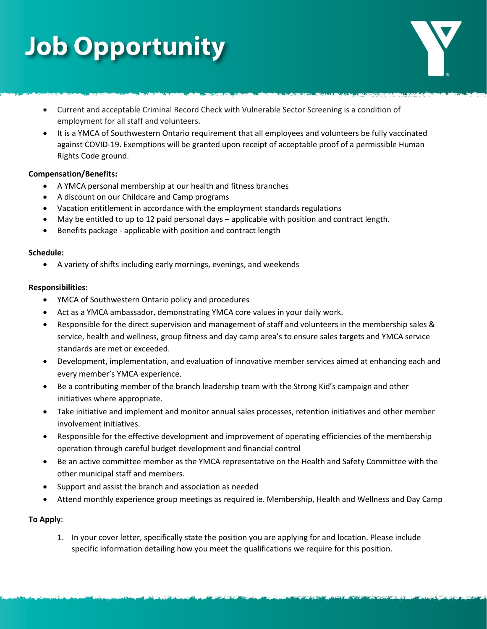# **Job Opportunity**

- Current and acceptable Criminal Record Check with Vulnerable Sector Screening is a condition of employment for all staff and volunteers.
- It is a YMCA of Southwestern Ontario requirement that all employees and volunteers be fully vaccinated against COVID-19. Exemptions will be granted upon receipt of acceptable proof of a permissible Human Rights Code ground.

### **Compensation/Benefits:**

- A YMCA personal membership at our health and fitness branches
- A discount on our Childcare and Camp programs
- Vacation entitlement in accordance with the employment standards regulations
- May be entitled to up to 12 paid personal days applicable with position and contract length.
- Benefits package applicable with position and contract length

#### **Schedule:**

• A variety of shifts including early mornings, evenings, and weekends

### **Responsibilities:**

- YMCA of Southwestern Ontario policy and procedures
- Act as a YMCA ambassador, demonstrating YMCA core values in your daily work.
- Responsible for the direct supervision and management of staff and volunteers in the membership sales & service, health and wellness, group fitness and day camp area's to ensure sales targets and YMCA service standards are met or exceeded.
- Development, implementation, and evaluation of innovative member services aimed at enhancing each and every member's YMCA experience.
- Be a contributing member of the branch leadership team with the Strong Kid's campaign and other initiatives where appropriate.
- Take initiative and implement and monitor annual sales processes, retention initiatives and other member involvement initiatives.
- Responsible for the effective development and improvement of operating efficiencies of the membership operation through careful budget development and financial control
- Be an active committee member as the YMCA representative on the Health and Safety Committee with the other municipal staff and members.
- Support and assist the branch and association as needed
- Attend monthly experience group meetings as required ie. Membership, Health and Wellness and Day Camp

### **To Apply**:

1. In your cover letter, specifically state the position you are applying for and location. Please include specific information detailing how you meet the qualifications we require for this position.